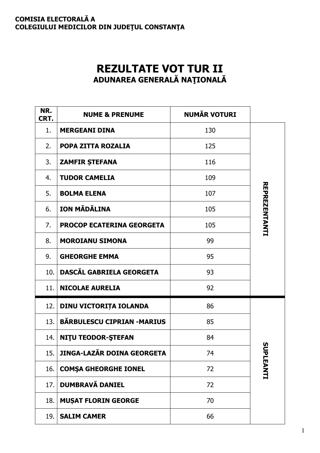## **COMISIA ELECTORALĂ A COLEGIULUI MEDICILOR DIN JUDEŢUL CONSTANŢA**

## **REZULTATE VOT TUR II ADUNAREA GENERALĂ NAŢIONALĂ**

| NR.<br>CRT. | <b>NUME &amp; PRENUME</b>         | <b>NUMĂR VOTURI</b> |                      |
|-------------|-----------------------------------|---------------------|----------------------|
| 1.          | <b>MERGEANI DINA</b>              | 130                 |                      |
| 2.          | POPA ZITTA ROZALIA                | 125                 |                      |
| 3.          | <b>ZAMFIR ȘTEFANA</b>             | 116                 |                      |
| 4.          | <b>TUDOR CAMELIA</b>              | 109                 |                      |
| 5.          | <b>BOLMA ELENA</b>                | 107                 |                      |
| 6.          | ION MĂDĂLINA                      | 105                 | <b>REPREZENTANTI</b> |
| 7.          | <b>PROCOP ECATERINA GEORGETA</b>  | 105                 |                      |
| 8.          | <b>MOROIANU SIMONA</b>            | 99                  |                      |
| 9.          | <b>GHEORGHE EMMA</b>              | 95                  |                      |
| 10.         | DASCĂL GABRIELA GEORGETA          | 93                  |                      |
| 11.         | <b>NICOLAE AURELIA</b>            | 92                  |                      |
| 12.         | DINU VICTORIȚA IOLANDA            | 86                  |                      |
| 13.         | <b>BĂRBULESCU CIPRIAN -MARIUS</b> | 85                  |                      |
| 14.         | <b>NITU TEODOR-ȘTEFAN</b>         | 84                  | S                    |
| 15.         | <b>JINGA-LAZĂR DOINA GEORGETA</b> | 74                  |                      |
| 16.         | <b>COMSA GHEORGHE IONEL</b>       | 72                  | JPLEANTI             |
| 17.         | <b>DUMBRAVĂ DANIEL</b>            | 72                  |                      |
| 18.         | <b>MUŞAT FLORIN GEORGE</b>        | 70                  |                      |
| 19.         | <b>SALIM CAMER</b>                | 66                  |                      |